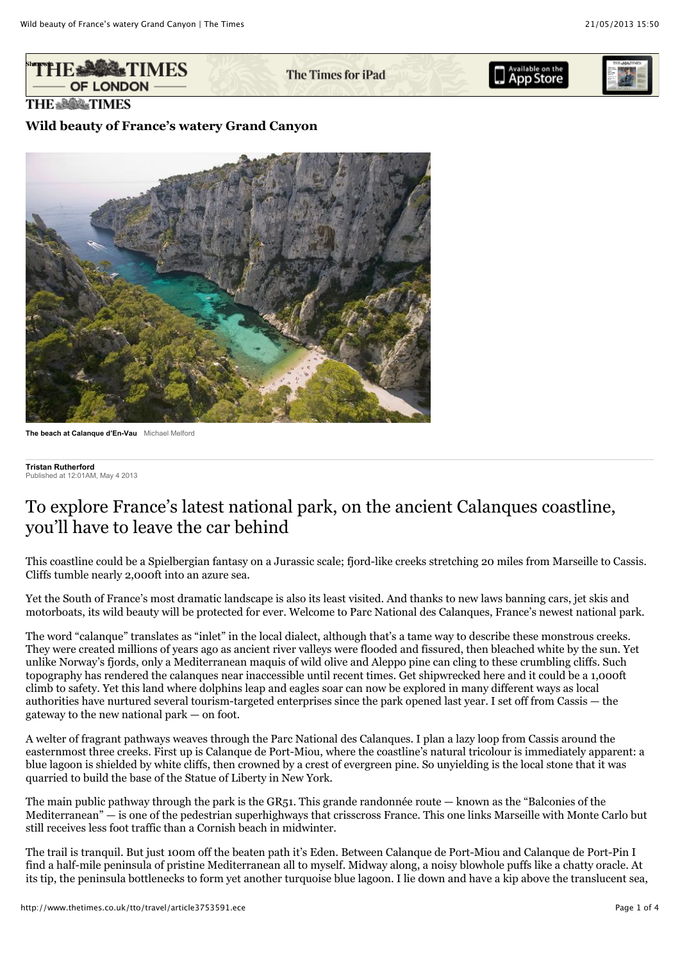

The Times for iPad





**THE & SOUR TIMES** 

## **Wild beauty of France's watery Grand Canyon**



**The beach at Calanque d'En-Vau** Michael Melford

**Tristan Rutherford** Published at 12:01AM, May 4 2013

# To explore France's latest national park, on the ancient Calanques coastline, you'll have to leave the car behind

This coastline could be a Spielbergian fantasy on a Jurassic scale; fjord-like creeks stretching 20 miles from Marseille to Cassis. Cliffs tumble nearly 2,000ft into an azure sea.

Yet the South of France's most dramatic landscape is also its least visited. And thanks to new laws banning cars, jet skis and motorboats, its wild beauty will be protected for ever. Welcome to Parc National des Calanques, France's newest national park.

The word "calanque" translates as "inlet" in the local dialect, although that's a tame way to describe these monstrous creeks. They were created millions of years ago as ancient river valleys were flooded and fissured, then bleached white by the sun. Yet unlike Norway's fjords, only a Mediterranean maquis of wild olive and Aleppo pine can cling to these crumbling cliffs. Such topography has rendered the calanques near inaccessible until recent times. Get shipwrecked here and it could be a 1,000ft climb to safety. Yet this land where dolphins leap and eagles soar can now be explored in many different ways as local authorities have nurtured several tourism-targeted enterprises since the park opened last year. I set off from Cassis — the gateway to the new national park — on foot.

A welter of fragrant pathways weaves through the Parc National des Calanques. I plan a lazy loop from Cassis around the easternmost three creeks. First up is Calanque de Port-Miou, where the coastline's natural tricolour is immediately apparent: a blue lagoon is shielded by white cliffs, then crowned by a crest of evergreen pine. So unyielding is the local stone that it was quarried to build the base of the Statue of Liberty in New York.

The main public pathway through the park is the GR51. This grande randonnée route — known as the "Balconies of the Mediterranean" — is one of the pedestrian superhighways that crisscross France. This one links Marseille with Monte Carlo but still receives less foot traffic than a Cornish beach in midwinter.

The trail is tranquil. But just 100m off the beaten path it's Eden. Between Calanque de Port-Miou and Calanque de Port-Pin I find a half-mile peninsula of pristine Mediterranean all to myself. Midway along, a noisy blowhole puffs like a chatty oracle. At its tip, the peninsula bottlenecks to form yet another turquoise blue lagoon. I lie down and have a kip above the translucent sea,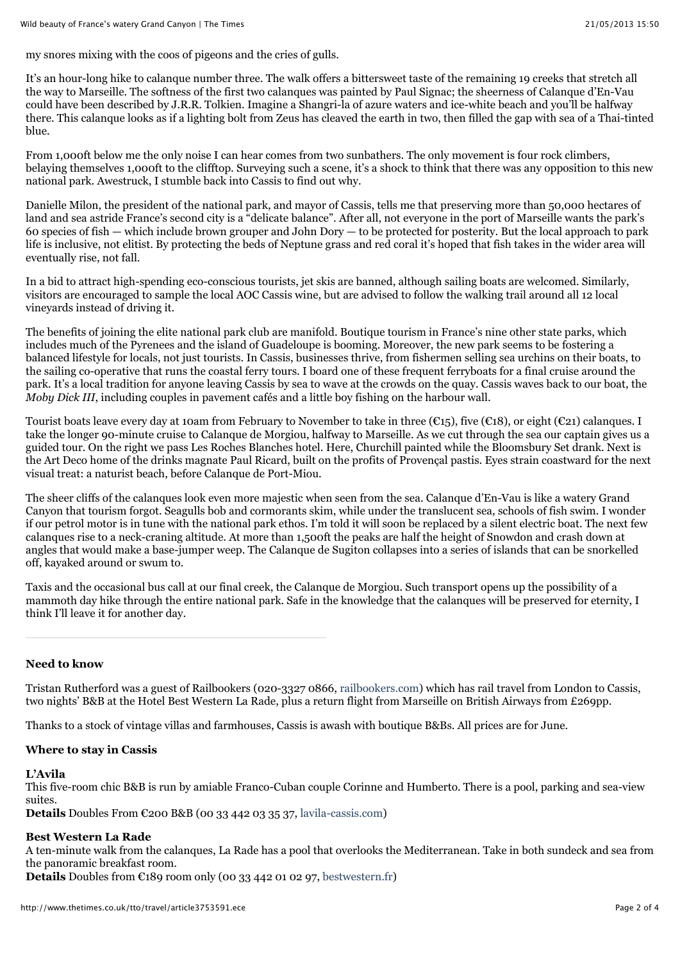my snores mixing with the coos of pigeons and the cries of gulls.

It's an hour-long hike to calanque number three. The walk offers a bittersweet taste of the remaining 19 creeks that stretch all the way to Marseille. The softness of the first two calanques was painted by Paul Signac; the sheerness of Calanque d'En-Vau could have been described by J.R.R. Tolkien. Imagine a Shangri-la of azure waters and ice-white beach and you'll be halfway there. This calanque looks as if a lighting bolt from Zeus has cleaved the earth in two, then filled the gap with sea of a Thai-tinted blue.

From 1,000ft below me the only noise I can hear comes from two sunbathers. The only movement is four rock climbers, belaying themselves 1,000ft to the clifftop. Surveying such a scene, it's a shock to think that there was any opposition to this new national park. Awestruck, I stumble back into Cassis to find out why.

Danielle Milon, the president of the national park, and mayor of Cassis, tells me that preserving more than 50,000 hectares of land and sea astride France's second city is a "delicate balance". After all, not everyone in the port of Marseille wants the park's 60 species of fish — which include brown grouper and John Dory — to be protected for posterity. But the local approach to park life is inclusive, not elitist. By protecting the beds of Neptune grass and red coral it's hoped that fish takes in the wider area will eventually rise, not fall.

In a bid to attract high-spending eco-conscious tourists, jet skis are banned, although sailing boats are welcomed. Similarly, visitors are encouraged to sample the local AOC Cassis wine, but are advised to follow the walking trail around all 12 local vineyards instead of driving it.

The benefits of joining the elite national park club are manifold. Boutique tourism in France's nine other state parks, which includes much of the Pyrenees and the island of Guadeloupe is booming. Moreover, the new park seems to be fostering a balanced lifestyle for locals, not just tourists. In Cassis, businesses thrive, from fishermen selling sea urchins on their boats, to the sailing co-operative that runs the coastal ferry tours. I board one of these frequent ferryboats for a final cruise around the park. It's a local tradition for anyone leaving Cassis by sea to wave at the crowds on the quay. Cassis waves back to our boat, the *Moby Dick III*, including couples in pavement cafés and a little boy fishing on the harbour wall.

Tourist boats leave every day at 10am from February to November to take in three (€15), five (€18), or eight (€21) calanques. I take the longer 90-minute cruise to Calanque de Morgiou, halfway to Marseille. As we cut through the sea our captain gives us a guided tour. On the right we pass Les Roches Blanches hotel. Here, Churchill painted while the Bloomsbury Set drank. Next is the Art Deco home of the drinks magnate Paul Ricard, built on the profits of Provençal pastis. Eyes strain coastward for the next visual treat: a naturist beach, before Calanque de Port-Miou.

The sheer cliffs of the calanques look even more majestic when seen from the sea. Calanque d'En-Vau is like a watery Grand Canyon that tourism forgot. Seagulls bob and cormorants skim, while under the translucent sea, schools of fish swim. I wonder if our petrol motor is in tune with the national park ethos. I'm told it will soon be replaced by a silent electric boat. The next few calanques rise to a neck-craning altitude. At more than 1,500ft the peaks are half the height of Snowdon and crash down at angles that would make a base-jumper weep. The Calanque de Sugiton collapses into a series of islands that can be snorkelled off, kayaked around or swum to.

Taxis and the occasional bus call at our final creek, the Calanque de Morgiou. Such transport opens up the possibility of a mammoth day hike through the entire national park. Safe in the knowledge that the calanques will be preserved for eternity, I think I'll leave it for another day.

#### **Need to know**

Tristan Rutherford was a guest of Railbookers (020-3327 0866, [railbookers.com\)](http://www.thetimes.co.uk/tto/travel/railbookers.com) which has rail travel from London to Cassis, two nights' B&B at the Hotel Best Western La Rade, plus a return flight from Marseille on British Airways from £269pp.

Thanks to a stock of vintage villas and farmhouses, Cassis is awash with boutique B&Bs. All prices are for June.

#### **Where to stay in Cassis**

#### **L'Avila**

This five-room chic B&B is run by amiable Franco-Cuban couple Corinne and Humberto. There is a pool, parking and sea-view suites.

**Details** Doubles From €200 B&B (00 33 442 03 35 37, [lavila-cassis.com](http://www.thetimes.co.uk/tto/travel/lavila-cassis.com))

## **Best Western La Rade**

A ten-minute walk from the calanques, La Rade has a pool that overlooks the Mediterranean. Take in both sundeck and sea from the panoramic breakfast room.

**Details** Doubles from €189 room only (00 33 442 01 02 97, [bestwestern.fr\)](http://www.thetimes.co.uk/tto/travel/bestwestern.fr)